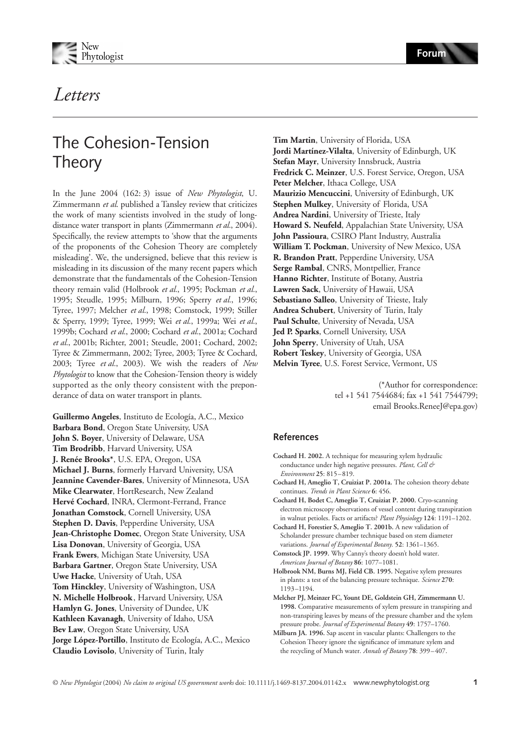



## Letters

## The Cohesion-Tension **Theory**

In the June 2004 (162: 3) issue of *New Phytologist*, U. Zimmermann *et al*. published a Tansley review that criticizes the work of many scientists involved in the study of longdistance water transport in plants (Zimmermann *et al.*, 2004). Specifically, the review attempts to 'show that the arguments of the proponents of the Cohesion Theory are completely misleading'. We, the undersigned, believe that this review is misleading in its discussion of the many recent papers which demonstrate that the fundamentals of the Cohesion-Tension theory remain valid (Holbrook *et al.*, 1995; Pockman *et al.*, 1995; Steudle, 1995; Milburn, 1996; Sperry *et al.*, 1996; Tyree, 1997; Melcher *et al.*, 1998; Comstock, 1999; Stiller & Sperry, 1999; Tyree, 1999; Wei *et al.*, 1999a; Wei *et al.*, 1999b; Cochard *et al.*, 2000; Cochard *et al.*, 2001a; Cochard *et al.*, 2001b; Richter, 2001; Steudle, 2001; Cochard, 2002; Tyree & Zimmermann, 2002; Tyree, 2003; Tyree & Cochard, 2003; Tyree *et al.*, 2003). We wish the readers of *New Phytologist* to know that the Cohesion-Tension theory is widely supported as the only theory consistent with the preponderance of data on water transport in plants.

**Guillermo Angeles**, Instituto de Ecología, A.C., Mexico **Barbara Bond**, Oregon State University, USA **John S. Boyer**, University of Delaware, USA **Tim Brodribb**, Harvard University, USA **J. Renée Brooks\***, U.S. EPA, Oregon, USA **Michael J. Burns**, formerly Harvard University, USA **Jeannine Cavender-Bares**, University of Minnesota, USA **Mike Clearwater**, HortResearch, New Zealand **Hervé Cochard**, INRA, Clermont-Ferrand, France **Jonathan Comstock**, Cornell University, USA **Stephen D. Davis**, Pepperdine University, USA **Jean-Christophe Domec**, Oregon State University, USA **Lisa Donovan**, University of Georgia, USA **Frank Ewers**, Michigan State University, USA **Barbara Gartner**, Oregon State University, USA **Uwe Hacke**, University of Utah, USA **Tom Hinckley**, University of Washington, USA **N. Michelle Holbrook**, Harvard University, USA **Hamlyn G. Jones**, University of Dundee, UK **Kathleen Kavanagh**, University of Idaho, USA **Bev Law**, Oregon State University, USA **Jorge López-Portillo**, Instituto de Ecología, A.C., Mexico **Claudio Lovisolo**, University of Turin, Italy

**Tim Martin**, University of Florida, USA **Jordi Martínez-Vilalta**, University of Edinburgh, UK **Stefan Mayr**, University Innsbruck, Austria **Fredrick C. Meinzer**, U.S. Forest Service, Oregon, USA **Peter Melcher**, Ithaca College, USA **Maurizio Mencuccini**, University of Edinburgh, UK **Stephen Mulkey**, University of Florida, USA **Andrea Nardini**, University of Trieste, Italy **Howard S. Neufeld**, Appalachian State University, USA **John Passioura**, CSIRO Plant Industry, Australia **William T. Pockman**, University of New Mexico, USA **R. Brandon Pratt**, Pepperdine University, USA **Serge Rambal**, CNRS, Montpellier, France **Hanno Richter**, Institute of Botany, Austria **Lawren Sack**, University of Hawaii, USA **Sebastiano Salleo**, University of Trieste, Italy **Andrea Schubert**, University of Turin, Italy **Paul Schulte**, University of Nevada, USA **Jed P. Sparks**, Cornell University, USA **John Sperry**, University of Utah, USA **Robert Teskey**, University of Georgia, USA **Melvin Tyree**, U.S. Forest Service, Vermont, US

> (\*Author for correspondence: tel +1 541 7544684; fax +1 541 7544799; email Brooks.ReneeJ@epa.gov)

## **References**

- **Cochard H. 2002.** A technique for measuring xylem hydraulic conductance under high negative pressures. *Plant, Cell & Environment* **25**: 815–819. **Cochard H, Ameglio T, Cruiziat P. 2001a.** The cohesion theory debate continues. *Trends in Plant Science* **6**: 456. **Cochard H, Bodet C, Ameglio T, Cruiziat P. 2000.** Cryo-scanning electron microscopy observations of vessel content during transpiration in walnut petioles. Facts or artifacts? *Plant Physiology* **124**: 1191–1202. **Cochard H, Forestier S, Ameglio T. 2001b.** A new validation of Scholander pressure chamber technique based on stem diameter variations. *Journal of Experimental Botany.* **52**: 1361–1365. **Comstock JP. 1999.** Why Canny's theory doesn't hold water. *American Journal of Botany* **86**: 1077–1081. **Holbrook NM, Burns MJ, Field CB. 1995.** Negative xylem pressures in plants: a test of the balancing pressure technique. *Science* **270**: 1193–1194. **Melcher PJ, Meinzer FC, Yount DE, Goldstein GH, Zimmermann U.**
- **1998.** Comparative measurements of xylem pressure in transpiring and non-transpiring leaves by means of the pressure chamber and the xylem pressure probe. *Journal of Experimental Botany* **49**: 1757–1760.
- **Milburn JA. 1996.** Sap ascent in vascular plants: Challengers to the Cohesion Theory ignore the significance of immature xylem and the recycling of Munch water. *Annals of Botany* **78**: 399–407.